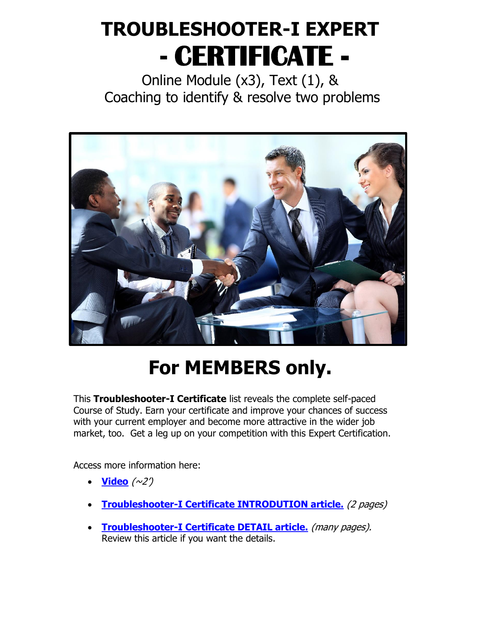# **TROUBLESHOOTER-I EXPERT - CERTIFICATE -**

Online Module (x3), Text (1), & Coaching to identify & resolve two problems



# **For MEMBERS only.**

This **Troubleshooter-I Certificate** list reveals the complete self-paced Course of Study. Earn your certificate and improve your chances of success with your current employer and become more attractive in the wider job market, too. Get a leg up on your competition with this Expert Certification.

Access more information here:

- $\bullet$  **[Video](https://www.critical-thinking.com/video/troubleshooter-I-certificate)** ( $\sim$ 2')
- **[Troubleshooter-I Certificate INTRODUTION article.](https://www.critical-thinking.com/wp-content/uploads/2022/03/A03.pdf)** (2 pages)
- **[Troubleshooter-I Certificate DETAIL article.](https://www.critical-thinking.com/wp-content/uploads/2022/03/A04.pdf)** (many pages). Review this article if you want the details.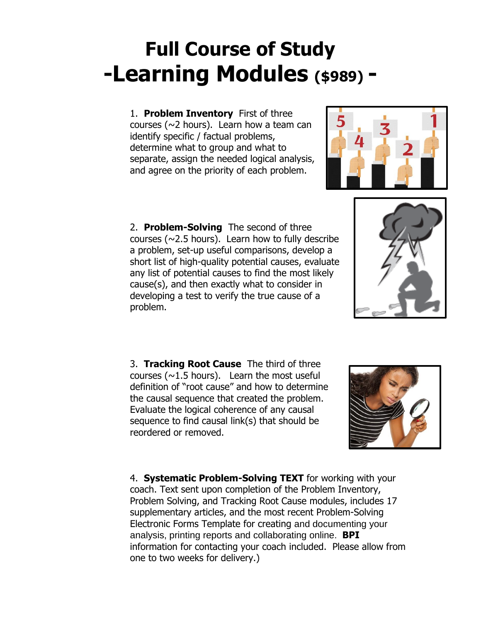# **Full Course of Study -Learning Modules (\$989) -**

1. **Problem Inventory** First of three courses ( $\sim$ 2 hours). Learn how a team can identify specific / factual problems, determine what to group and what to separate, assign the needed logical analysis, and agree on the priority of each problem.

2. **Problem-Solving** The second of three courses ( $\sim$ 2.5 hours). Learn how to fully describe a problem, set-up useful comparisons, develop a short list of high-quality potential causes, evaluate any list of potential causes to find the most likely cause(s), and then exactly what to consider in developing a test to verify the true cause of a problem.

3. **Tracking Root Cause** The third of three courses ( $\sim$ 1.5 hours). Learn the most useful definition of "root cause" and how to determine the causal sequence that created the problem. Evaluate the logical coherence of any causal sequence to find causal link(s) that should be reordered or removed.

4. **Systematic Problem-Solving TEXT** for working with your coach. Text sent upon completion of the Problem Inventory, Problem Solving, and Tracking Root Cause modules, includes 17 supplementary articles, and the most recent Problem-Solving Electronic Forms Template for creating and documenting your analysis, printing reports and collaborating online. **BPI** information for contacting your coach included. Please allow from one to two weeks for delivery.)